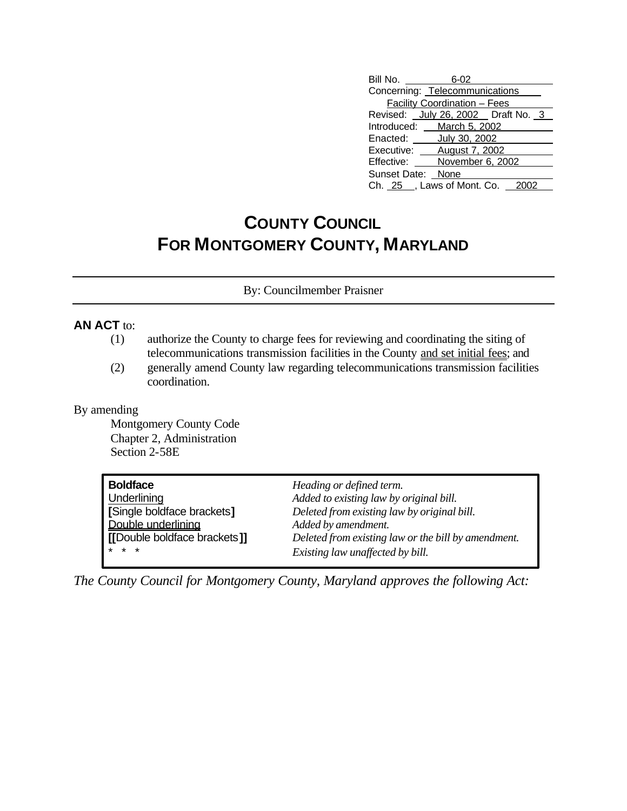| Bill No.                            | 6-02                                |  |  |  |  |
|-------------------------------------|-------------------------------------|--|--|--|--|
| Concerning: Telecommunications      |                                     |  |  |  |  |
|                                     | <b>Facility Coordination - Fees</b> |  |  |  |  |
| Revised: July 26, 2002  Draft No. 3 |                                     |  |  |  |  |
| Introduced: March 5, 2002           |                                     |  |  |  |  |
| Enacted: <b>July 30, 2002</b>       |                                     |  |  |  |  |
| Executive: <b>August 7, 2002</b>    |                                     |  |  |  |  |
| Effective: November 6, 2002         |                                     |  |  |  |  |
| Sunset Date: None                   |                                     |  |  |  |  |
| Ch. 25 _, Laws of Mont. Co. 2002    |                                     |  |  |  |  |

## **COUNTY COUNCIL FOR MONTGOMERY COUNTY, MARYLAND**

By: Councilmember Praisner

## **AN ACT** to:

- (1) authorize the County to charge fees for reviewing and coordinating the siting of telecommunications transmission facilities in the County and set initial fees; and
- (2) generally amend County law regarding telecommunications transmission facilities coordination.

## By amending

Montgomery County Code Chapter 2, Administration Section 2-58E

| <b>Boldface</b>              | Heading or defined term.                            |
|------------------------------|-----------------------------------------------------|
| <b>Underlining</b>           | Added to existing law by original bill.             |
| [Single boldface brackets]   | Deleted from existing law by original bill.         |
| Double underlining           | Added by amendment.                                 |
| [[Double boldface brackets]] | Deleted from existing law or the bill by amendment. |
| $* * *$                      | Existing law unaffected by bill.                    |

*The County Council for Montgomery County, Maryland approves the following Act:*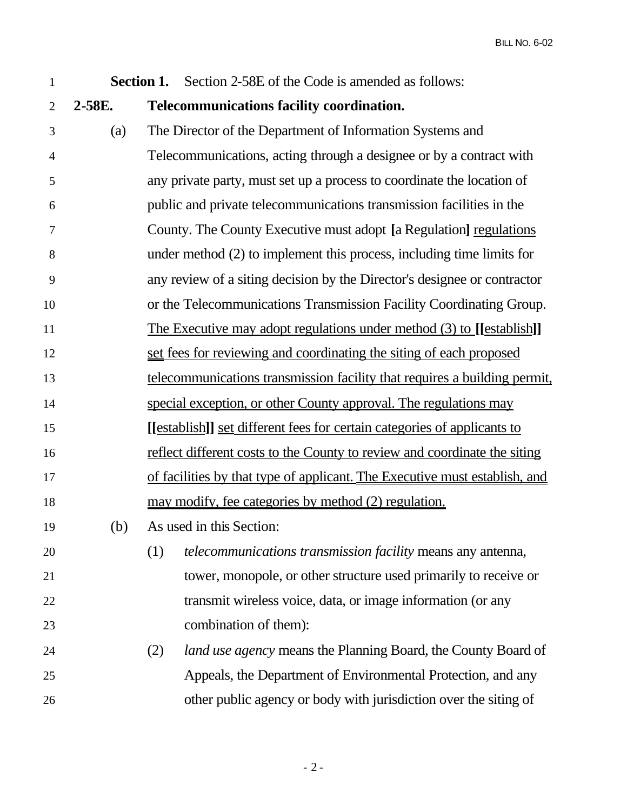| $\mathbf{1}$   |        | <b>Section 1.</b> Section 2-58E of the Code is amended as follows:          |  |  |  |
|----------------|--------|-----------------------------------------------------------------------------|--|--|--|
| $\overline{2}$ | 2-58E. | <b>Telecommunications facility coordination.</b>                            |  |  |  |
| 3              | (a)    | The Director of the Department of Information Systems and                   |  |  |  |
| $\overline{4}$ |        | Telecommunications, acting through a designee or by a contract with         |  |  |  |
| 5              |        | any private party, must set up a process to coordinate the location of      |  |  |  |
| 6              |        | public and private telecommunications transmission facilities in the        |  |  |  |
| 7              |        | County. The County Executive must adopt [a Regulation] regulations          |  |  |  |
| 8              |        | under method $(2)$ to implement this process, including time limits for     |  |  |  |
| 9              |        | any review of a siting decision by the Director's designee or contractor    |  |  |  |
| 10             |        | or the Telecommunications Transmission Facility Coordinating Group.         |  |  |  |
| 11             |        | The Executive may adopt regulations under method (3) to [[establish]]       |  |  |  |
| 12             |        | set fees for reviewing and coordinating the siting of each proposed         |  |  |  |
| 13             |        | telecommunications transmission facility that requires a building permit,   |  |  |  |
| 14             |        | special exception, or other County approval. The regulations may            |  |  |  |
| 15             |        | [[establish]] set different fees for certain categories of applicants to    |  |  |  |
| 16             |        | reflect different costs to the County to review and coordinate the siting   |  |  |  |
| 17             |        | of facilities by that type of applicant. The Executive must establish, and  |  |  |  |
| 18             |        | <u>may modify, fee categories by method (2) regulation.</u>                 |  |  |  |
| 19             | (b)    | As used in this Section:                                                    |  |  |  |
| 20             |        | (1)<br>telecommunications transmission facility means any antenna,          |  |  |  |
| 21             |        | tower, monopole, or other structure used primarily to receive or            |  |  |  |
| 22             |        | transmit wireless voice, data, or image information (or any                 |  |  |  |
| 23             |        | combination of them):                                                       |  |  |  |
| 24             |        | <i>land use agency</i> means the Planning Board, the County Board of<br>(2) |  |  |  |
| 25             |        | Appeals, the Department of Environmental Protection, and any                |  |  |  |
| 26             |        | other public agency or body with jurisdiction over the siting of            |  |  |  |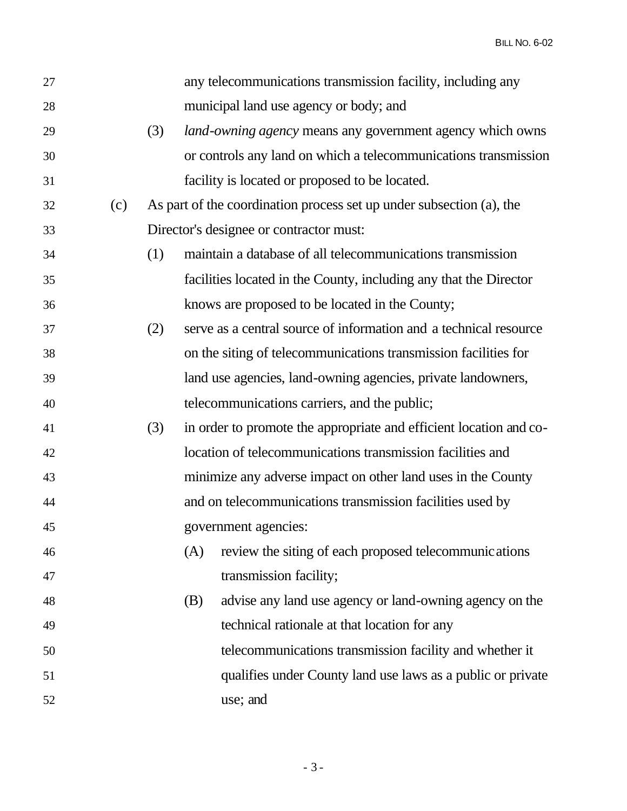BILL NO. 6-02

| 27 |     |     |     | any telecommunications transmission facility, including any          |
|----|-----|-----|-----|----------------------------------------------------------------------|
| 28 |     |     |     | municipal land use agency or body; and                               |
| 29 |     | (3) |     | <i>land-owning agency</i> means any government agency which owns     |
| 30 |     |     |     | or controls any land on which a telecommunications transmission      |
| 31 |     |     |     | facility is located or proposed to be located.                       |
| 32 | (c) |     |     | As part of the coordination process set up under subsection (a), the |
| 33 |     |     |     | Director's designee or contractor must:                              |
| 34 |     | (1) |     | maintain a database of all telecommunications transmission           |
| 35 |     |     |     | facilities located in the County, including any that the Director    |
| 36 |     |     |     | knows are proposed to be located in the County;                      |
| 37 |     | (2) |     | serve as a central source of information and a technical resource    |
| 38 |     |     |     | on the siting of telecommunications transmission facilities for      |
| 39 |     |     |     | land use agencies, land-owning agencies, private landowners,         |
| 40 |     |     |     | telecommunications carriers, and the public;                         |
| 41 |     | (3) |     | in order to promote the appropriate and efficient location and co-   |
| 42 |     |     |     | location of telecommunications transmission facilities and           |
| 43 |     |     |     | minimize any adverse impact on other land uses in the County         |
| 44 |     |     |     | and on telecommunications transmission facilities used by            |
| 45 |     |     |     | government agencies:                                                 |
| 46 |     |     | (A) | review the siting of each proposed telecommunic ations               |
| 47 |     |     |     | transmission facility;                                               |
| 48 |     |     | (B) | advise any land use agency or land-owning agency on the              |
| 49 |     |     |     | technical rationale at that location for any                         |
| 50 |     |     |     | telecommunications transmission facility and whether it              |
| 51 |     |     |     | qualifies under County land use laws as a public or private          |
| 52 |     |     |     | use; and                                                             |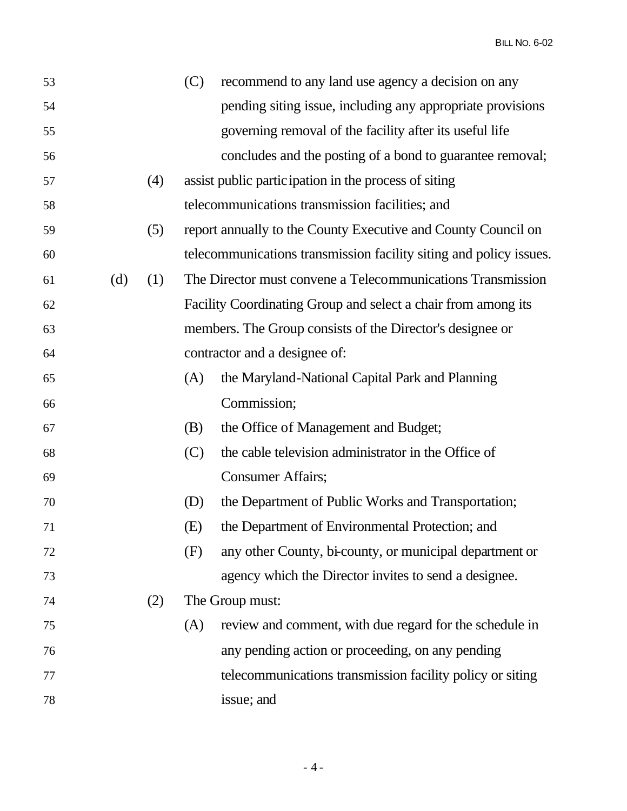| 53 |     |     | (C) | recommend to any land use agency a decision on any                 |
|----|-----|-----|-----|--------------------------------------------------------------------|
| 54 |     |     |     | pending siting issue, including any appropriate provisions         |
| 55 |     |     |     | governing removal of the facility after its useful life            |
| 56 |     |     |     | concludes and the posting of a bond to guarantee removal;          |
| 57 |     | (4) |     | assist public participation in the process of siting               |
| 58 |     |     |     | telecommunications transmission facilities; and                    |
| 59 |     | (5) |     | report annually to the County Executive and County Council on      |
| 60 |     |     |     | telecommunications transmission facility siting and policy issues. |
| 61 | (d) | (1) |     | The Director must convene a Telecommunications Transmission        |
| 62 |     |     |     | Facility Coordinating Group and select a chair from among its      |
| 63 |     |     |     | members. The Group consists of the Director's designee or          |
| 64 |     |     |     | contractor and a designee of:                                      |
| 65 |     |     | (A) | the Maryland-National Capital Park and Planning                    |
| 66 |     |     |     | Commission;                                                        |
| 67 |     |     | (B) | the Office of Management and Budget;                               |
| 68 |     |     | (C) | the cable television administrator in the Office of                |
| 69 |     |     |     | <b>Consumer Affairs;</b>                                           |
| 70 |     |     | (D) | the Department of Public Works and Transportation;                 |
| 71 |     |     | (E) | the Department of Environmental Protection; and                    |
| 72 |     |     | (F) | any other County, bi-county, or municipal department or            |
| 73 |     |     |     | agency which the Director invites to send a designee.              |
| 74 |     | (2) |     | The Group must:                                                    |
| 75 |     |     | (A) | review and comment, with due regard for the schedule in            |
| 76 |     |     |     | any pending action or proceeding, on any pending                   |
| 77 |     |     |     | telecommunications transmission facility policy or siting          |
| 78 |     |     |     | issue; and                                                         |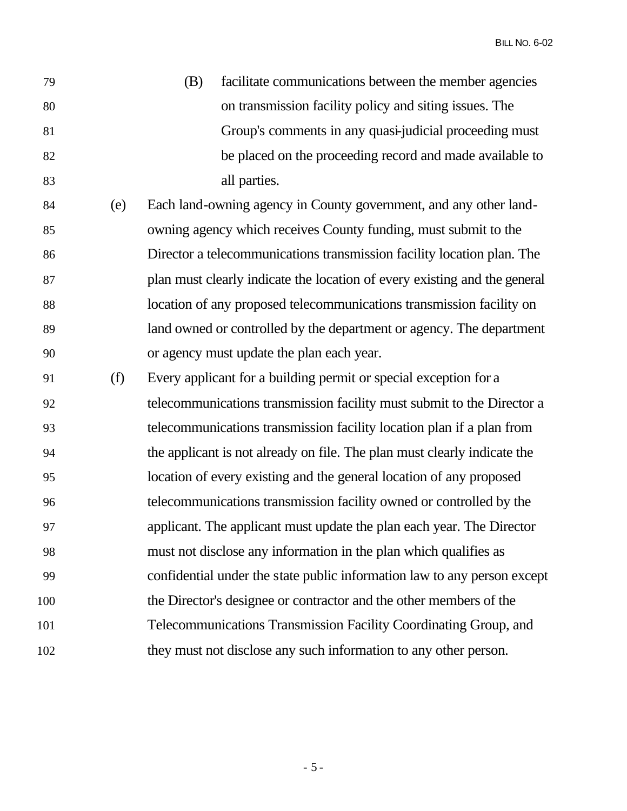| 79 | (B) | facilitate communications between the member agencies    |
|----|-----|----------------------------------------------------------|
| 80 |     | on transmission facility policy and siting issues. The   |
| 81 |     | Group's comments in any quasi-judicial proceeding must   |
| 82 |     | be placed on the proceeding record and made available to |
| 83 |     | all parties.                                             |

- (e) Each land-owning agency in County government, and any other land- owning agency which receives County funding, must submit to the Director a telecommunications transmission facility location plan. The plan must clearly indicate the location of every existing and the general location of any proposed telecommunications transmission facility on land owned or controlled by the department or agency. The department or agency must update the plan each year.
- (f) Every applicant for a building permit or special exception for a telecommunications transmission facility must submit to the Director a telecommunications transmission facility location plan if a plan from the applicant is not already on file. The plan must clearly indicate the location of every existing and the general location of any proposed telecommunications transmission facility owned or controlled by the applicant. The applicant must update the plan each year. The Director must not disclose any information in the plan which qualifies as confidential under the state public information law to any person except the Director's designee or contractor and the other members of the Telecommunications Transmission Facility Coordinating Group, and they must not disclose any such information to any other person.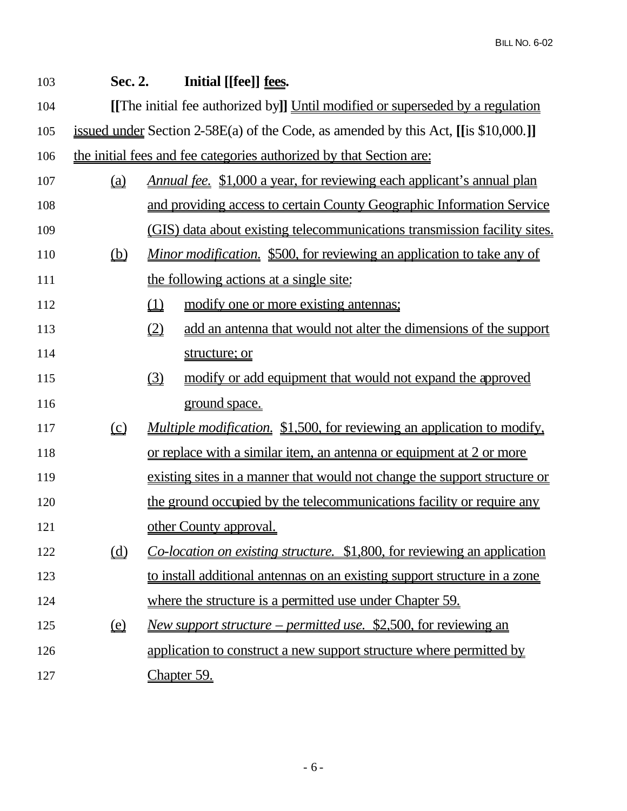| 103 | Sec. 2.                       | Initial [[fee]] fees.                                                               |  |  |  |
|-----|-------------------------------|-------------------------------------------------------------------------------------|--|--|--|
| 104 |                               | [[The initial fee authorized by]] Until modified or superseded by a regulation      |  |  |  |
| 105 |                               | issued under Section 2-58E(a) of the Code, as amended by this Act, [[is \$10,000.]] |  |  |  |
| 106 |                               | the initial fees and fee categories authorized by that Section are:                 |  |  |  |
| 107 | $\underline{\underline{(a)}}$ | <u>Annual fee. \$1,000 a year, for reviewing each applicant's annual plan</u>       |  |  |  |
| 108 |                               | and providing access to certain County Geographic Information Service               |  |  |  |
| 109 |                               | (GIS) data about existing telecommunications transmission facility sites.           |  |  |  |
| 110 | <u>(b)</u>                    | <u>Minor modification. \$500, for reviewing an application to take any of</u>       |  |  |  |
| 111 |                               | the following actions at a single site:                                             |  |  |  |
| 112 |                               | $\underline{\underline{u}}$<br>modify one or more existing antennas;                |  |  |  |
| 113 |                               | (2)<br>add an antenna that would not alter the dimensions of the support            |  |  |  |
| 114 |                               | structure; or                                                                       |  |  |  |
| 115 |                               | $\Omega$<br>modify or add equipment that would not expand the approved              |  |  |  |
| 116 |                               | ground space.                                                                       |  |  |  |
| 117 | $\Omega$                      | <i>Multiple modification.</i> \$1,500, for reviewing an application to modify,      |  |  |  |
| 118 |                               | <u>or replace with a similar item, an antenna or equipment at 2 or more</u>         |  |  |  |
| 119 |                               | existing sites in a manner that would not change the support structure or           |  |  |  |
| 120 |                               | the ground occupied by the telecommunications facility or require any               |  |  |  |
| 121 |                               | other County approval.                                                              |  |  |  |
| 122 |                               | Co-location on existing structure. \$1,800, for reviewing an application            |  |  |  |
| 123 |                               | to install additional antennas on an existing support structure in a zone           |  |  |  |
| 124 |                               | where the structure is a permitted use under Chapter 59.                            |  |  |  |
| 125 | $\underline{\omega}$          | <u>New support structure – permitted use. \$2,500, for reviewing an</u>             |  |  |  |
| 126 |                               | application to construct a new support structure where permitted by                 |  |  |  |
| 127 |                               | Chapter 59.                                                                         |  |  |  |